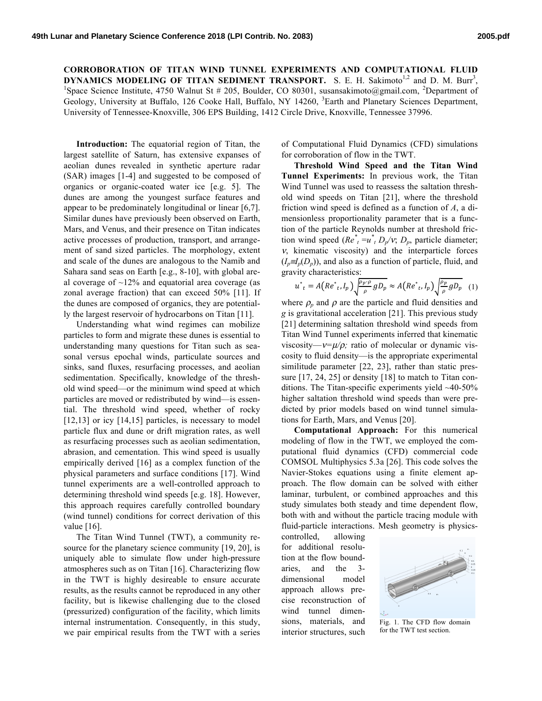**CORROBORATION OF TITAN WIND TUNNEL EXPERIMENTS AND COMPUTATIONAL FLUID DYNAMICS MODELING OF TITAN SEDIMENT TRANSPORT.** S. E. H. Sakimoto<sup>1,2</sup> and D. M. Burr<sup>3</sup>,  $\frac{1}{2}$  and  $\frac{1}{2}$  and  $\frac{1}{2}$  and  $\frac{1}{2}$  and  $\frac{1}{2}$  and  $\frac{1}{2}$  and  $\frac{1}{2}$  and  $\frac{1}{2}$  and  $\frac{1}{2}$  and  $\frac{$ Space Science Institute, 4750 Walnut St # 205, Boulder, CO 80301, susansakimoto@gmail.com, <sup>2</sup>Department of Geology, University at Buffalo, 126 Cooke Hall, Buffalo, NY 14260, <sup>3</sup>Earth and Planetary Sciences Department, University of Tennessee-Knoxville, 306 EPS Building, 1412 Circle Drive, Knoxville, Tennessee 37996.

**Introduction:** The equatorial region of Titan, the largest satellite of Saturn, has extensive expanses of aeolian dunes revealed in synthetic aperture radar (SAR) images [1-4] and suggested to be composed of organics or organic-coated water ice [e.g. 5]. The dunes are among the youngest surface features and appear to be predominately longitudinal or linear [6,7]. Similar dunes have previously been observed on Earth, Mars, and Venus, and their presence on Titan indicates active processes of production, transport, and arrangement of sand sized particles. The morphology, extent and scale of the dunes are analogous to the Namib and Sahara sand seas on Earth [e.g., 8-10], with global areal coverage of  $\sim$ 12% and equatorial area coverage (as zonal average fraction) that can exceed 50% [11]. If the dunes are composed of organics, they are potentially the largest reservoir of hydrocarbons on Titan [11].

Understanding what wind regimes can mobilize particles to form and migrate these dunes is essential to understanding many questions for Titan such as seasonal versus epochal winds, particulate sources and sinks, sand fluxes, resurfacing processes, and aeolian sedimentation. Specifically, knowledge of the threshold wind speed—or the minimum wind speed at which particles are moved or redistributed by wind—is essential. The threshold wind speed, whether of rocky [12,13] or icy [14,15] particles, is necessary to model particle flux and dune or drift migration rates, as well as resurfacing processes such as aeolian sedimentation, abrasion, and cementation. This wind speed is usually empirically derived [16] as a complex function of the physical parameters and surface conditions [17]. Wind tunnel experiments are a well-controlled approach to determining threshold wind speeds [e.g. 18]. However, this approach requires carefully controlled boundary (wind tunnel) conditions for correct derivation of this value [16].

The Titan Wind Tunnel (TWT), a community resource for the planetary science community [19, 20], is uniquely able to simulate flow under high-pressure atmospheres such as on Titan [16]. Characterizing flow in the TWT is highly desireable to ensure accurate results, as the results cannot be reproduced in any other facility, but is likewise challenging due to the closed (pressurized) configuration of the facility, which limits internal instrumentation. Consequently, in this study, we pair empirical results from the TWT with a series of Computational Fluid Dynamics (CFD) simulations for corroboration of flow in the TWT.

**Threshold Wind Speed and the Titan Wind Tunnel Experiments:** In previous work, the Titan Wind Tunnel was used to reassess the saltation threshold wind speeds on Titan [21], where the threshold friction wind speed is defined as a function of *A*, a dimensionless proportionality parameter that is a function of the particle Reynolds number at threshold friction wind speed  $(Re^*_{t} = u^*_{t} D_p/v; D_p)$ , particle diameter; <sup>ν</sup>, kinematic viscosity) and the interparticle forces  $(I_n \equiv I_n(D_n))$ , and also as a function of particle, fluid, and gravity characteristics:

$$
u_{t}^{*} = A\left(Re_{t}^{*}, I_{p}\right) \sqrt{\frac{\rho_{p} \cdot \rho}{\rho} g D_{p}} \approx A\left(Re_{t}^{*}, I_{p}\right) \sqrt{\frac{\rho_{p}}{\rho} g D_{p}} \quad (1)
$$

where  $\rho_p$  and  $\rho$  are the particle and fluid densities and *g* is gravitational acceleration [21]. This previous study [21] determining saltation threshold wind speeds from Titan Wind Tunnel experiments inferred that kinematic viscosity—ν*=*µ*/*ρ*;* ratio of molecular or dynamic viscosity to fluid density—is the appropriate experimental similitude parameter [22, 23], rather than static pressure [17, 24, 25] or density [18] to match to Titan conditions. The Titan-specific experiments yield ~40-50% higher saltation threshold wind speeds than were predicted by prior models based on wind tunnel simulations for Earth, Mars, and Venus [20].

**Computational Approach:** For this numerical modeling of flow in the TWT, we employed the computational fluid dynamics (CFD) commercial code COMSOL Multiphysics 5.3a [26]. This code solves the Navier-Stokes equations using a finite element approach. The flow domain can be solved with either laminar, turbulent, or combined approaches and this study simulates both steady and time dependent flow, both with and without the particle tracing module with fluid-particle interactions. Mesh geometry is physics-

controlled, allowing for additional resolution at the flow boundaries, and the 3 dimensional model approach allows precise reconstruction of wind tunnel dimensions, materials, and interior structures, such



Fig. 1. The CFD flow domain for the TWT test section.